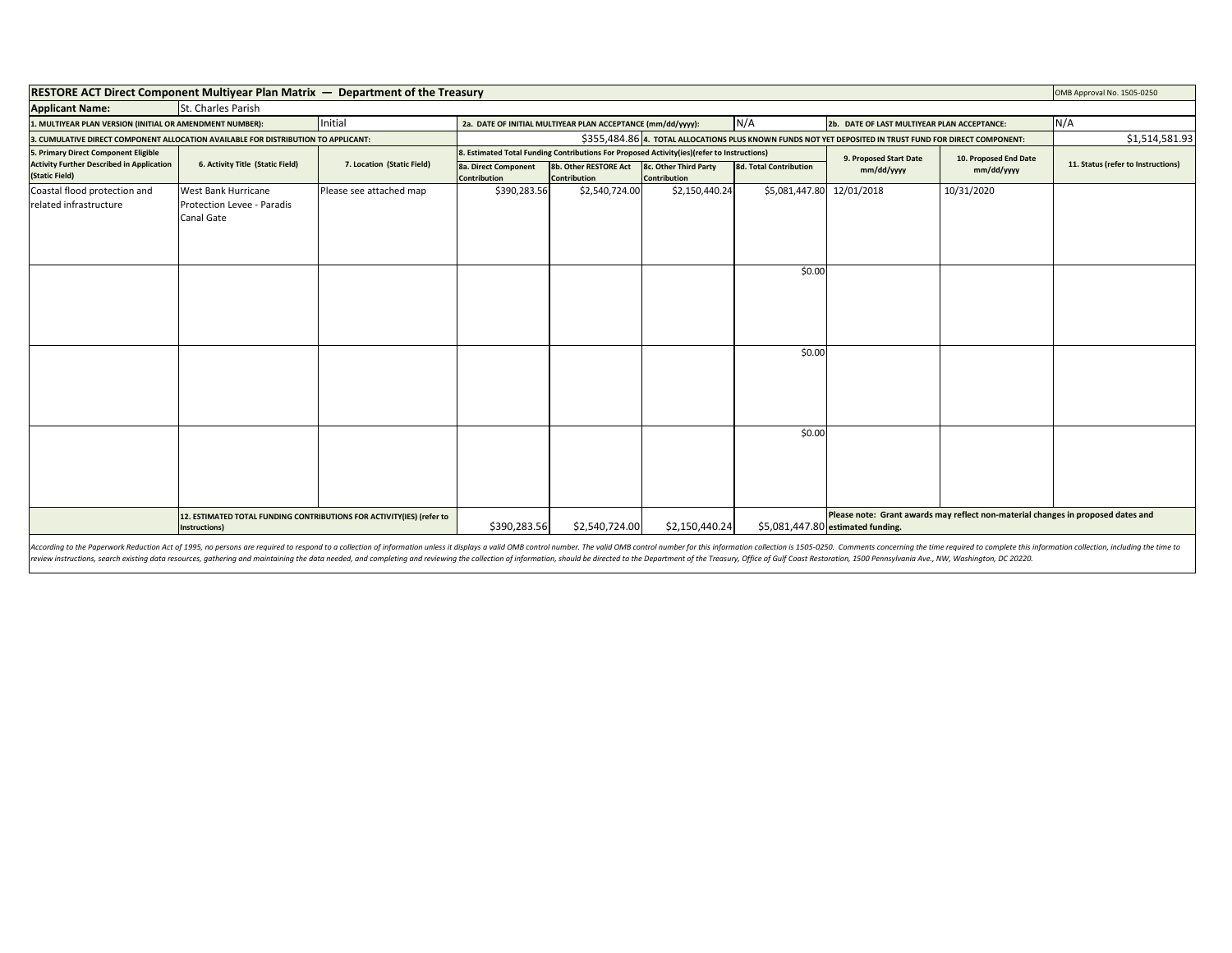| <b>RESTORE ACT Direct Component Multiyear Plan Matrix — Department of the Treasury</b> |                                                                                        |                                                                                                                   |                                                                                                                                               |                                       |                                              |                               |                                                                                                                       | OMB Approval No. 1505-0250 |                                    |
|----------------------------------------------------------------------------------------|----------------------------------------------------------------------------------------|-------------------------------------------------------------------------------------------------------------------|-----------------------------------------------------------------------------------------------------------------------------------------------|---------------------------------------|----------------------------------------------|-------------------------------|-----------------------------------------------------------------------------------------------------------------------|----------------------------|------------------------------------|
| <b>Applicant Name:</b>                                                                 | St. Charles Parish                                                                     |                                                                                                                   |                                                                                                                                               |                                       |                                              |                               |                                                                                                                       |                            |                                    |
| Initial<br>1. MULTIYEAR PLAN VERSION (INITIAL OR AMENDMENT NUMBER):                    |                                                                                        | N/A<br>2b. DATE OF LAST MULTIYEAR PLAN ACCEPTANCE:<br>2a. DATE OF INITIAL MULTIYEAR PLAN ACCEPTANCE (mm/dd/yyyy): |                                                                                                                                               |                                       |                                              |                               | N/A                                                                                                                   |                            |                                    |
| 3. CUMULATIVE DIRECT COMPONENT ALLOCATION AVAILABLE FOR DISTRIBUTION TO APPLICANT:     |                                                                                        |                                                                                                                   | \$355,484.86 4. TOTAL ALLOCATIONS PLUS KNOWN FUNDS NOT YET DEPOSITED IN TRUST FUND FOR DIRECT COMPONENT:                                      |                                       |                                              |                               |                                                                                                                       |                            | \$1,514,581.93                     |
| 5. Primary Direct Component Eligible                                                   | 6. Activity Title (Static Field)                                                       | 7. Location (Static Field)                                                                                        | 8. Estimated Total Funding Contributions For Proposed Activity(ies)(refer to Instructions)<br>9. Proposed Start Date<br>10. Proposed End Date |                                       |                                              |                               |                                                                                                                       |                            |                                    |
| <b>Activity Further Described in Application</b><br>(Static Field)                     |                                                                                        |                                                                                                                   | <b>8a. Direct Component</b><br><b>Contribution</b>                                                                                            | 8b. Other RESTORE Act<br>Contribution | 8c. Other Third Party<br><b>Contribution</b> | <b>8d. Total Contribution</b> | mm/dd/yyyy                                                                                                            | mm/dd/yyyy                 | 11. Status (refer to Instructions) |
| Coastal flood protection and<br>related infrastructure                                 | West Bank Hurricane<br>Protection Levee - Paradis<br>Canal Gate                        | Please see attached map                                                                                           | \$390,283.56                                                                                                                                  | \$2,540,724.00                        | \$2,150,440.24                               | \$5,081,447.80 12/01/2018     |                                                                                                                       | 10/31/2020                 |                                    |
|                                                                                        |                                                                                        |                                                                                                                   |                                                                                                                                               |                                       |                                              | \$0.00                        |                                                                                                                       |                            |                                    |
|                                                                                        |                                                                                        |                                                                                                                   |                                                                                                                                               |                                       |                                              | \$0.00                        |                                                                                                                       |                            |                                    |
|                                                                                        |                                                                                        |                                                                                                                   |                                                                                                                                               |                                       |                                              | \$0.00                        |                                                                                                                       |                            |                                    |
|                                                                                        | 12. ESTIMATED TOTAL FUNDING CONTRIBUTIONS FOR ACTIVITY(IES) (refer to<br>Instructions) |                                                                                                                   | \$390,283.56                                                                                                                                  | \$2,540,724.00                        | \$2,150,440.24                               |                               | Please note: Grant awards may reflect non-material changes in proposed dates and<br>\$5,081,447.80 estimated funding. |                            |                                    |

According to the Paperwork Reduction Act of 1995, no persons are required to respond to a collection of information unless it displays a valid OMB control number. The valid OMB control number for this information collectio review instructions, search existing data resources, gathering and maintaining the data needed, and completing and reviewing the collection of information, should be directed to the Department of the Treasury, Office of Gu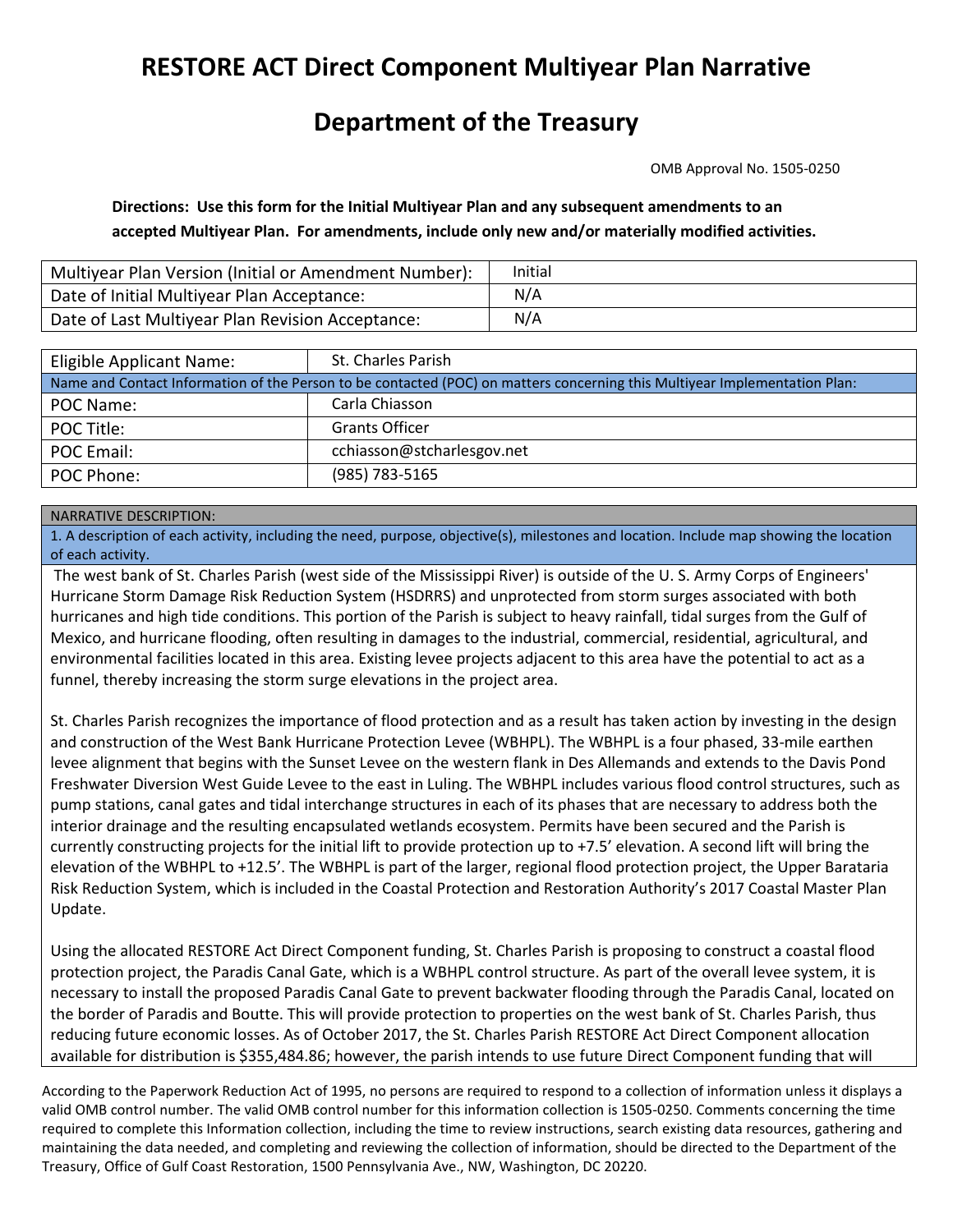## **RESTORE ACT Direct Component Multiyear Plan Narrative**

## **Department of the Treasury**

OMB Approval No. 1505-0250

**Directions: Use this form for the Initial Multiyear Plan and any subsequent amendments to an accepted Multiyear Plan. For amendments, include only new and/or materially modified activities.**

| Multiyear Plan Version (Initial or Amendment Number): | Initial |
|-------------------------------------------------------|---------|
| Date of Initial Multiyear Plan Acceptance:            | N/A     |
| Date of Last Multiyear Plan Revision Acceptance:      | N/A     |

| Eligible Applicant Name:                                                                                                   | St. Charles Parish         |  |  |  |  |
|----------------------------------------------------------------------------------------------------------------------------|----------------------------|--|--|--|--|
| Name and Contact Information of the Person to be contacted (POC) on matters concerning this Multiyear Implementation Plan: |                            |  |  |  |  |
| POC Name:                                                                                                                  | Carla Chiasson             |  |  |  |  |
| POC Title:                                                                                                                 | <b>Grants Officer</b>      |  |  |  |  |
| POC Email:                                                                                                                 | cchiasson@stcharlesgov.net |  |  |  |  |
| POC Phone:                                                                                                                 | (985) 783-5165             |  |  |  |  |

## NARRATIVE DESCRIPTION:

1. A description of each activity, including the need, purpose, objective(s), milestones and location. Include map showing the location of each activity.

The west bank of St. Charles Parish (west side of the Mississippi River) is outside of the U. S. Army Corps of Engineers' Hurricane Storm Damage Risk Reduction System (HSDRRS) and unprotected from storm surges associated with both hurricanes and high tide conditions. This portion of the Parish is subject to heavy rainfall, tidal surges from the Gulf of Mexico, and hurricane flooding, often resulting in damages to the industrial, commercial, residential, agricultural, and environmental facilities located in this area. Existing levee projects adjacent to this area have the potential to act as a funnel, thereby increasing the storm surge elevations in the project area.

St. Charles Parish recognizes the importance of flood protection and as a result has taken action by investing in the design and construction of the West Bank Hurricane Protection Levee (WBHPL). The WBHPL is a four phased, 33-mile earthen levee alignment that begins with the Sunset Levee on the western flank in Des Allemands and extends to the Davis Pond Freshwater Diversion West Guide Levee to the east in Luling. The WBHPL includes various flood control structures, such as pump stations, canal gates and tidal interchange structures in each of its phases that are necessary to address both the interior drainage and the resulting encapsulated wetlands ecosystem. Permits have been secured and the Parish is currently constructing projects for the initial lift to provide protection up to +7.5' elevation. A second lift will bring the elevation of the WBHPL to +12.5'. The WBHPL is part of the larger, regional flood protection project, the Upper Barataria Risk Reduction System, which is included in the Coastal Protection and Restoration Authority's 2017 Coastal Master Plan Update.

Using the allocated RESTORE Act Direct Component funding, St. Charles Parish is proposing to construct a coastal flood protection project, the Paradis Canal Gate, which is a WBHPL control structure. As part of the overall levee system, it is necessary to install the proposed Paradis Canal Gate to prevent backwater flooding through the Paradis Canal, located on the border of Paradis and Boutte. This will provide protection to properties on the west bank of St. Charles Parish, thus reducing future economic losses. As of October 2017, the St. Charles Parish RESTORE Act Direct Component allocation available for distribution is \$355,484.86; however, the parish intends to use future Direct Component funding that will

According to the Paperwork Reduction Act of 1995, no persons are required to respond to a collection of information unless it displays a valid OMB control number. The valid OMB control number for this information collection is 1505-0250. Comments concerning the time required to complete this Information collection, including the time to review instructions, search existing data resources, gathering and maintaining the data needed, and completing and reviewing the collection of information, should be directed to the Department of the Treasury, Office of Gulf Coast Restoration, 1500 Pennsylvania Ave., NW, Washington, DC 20220.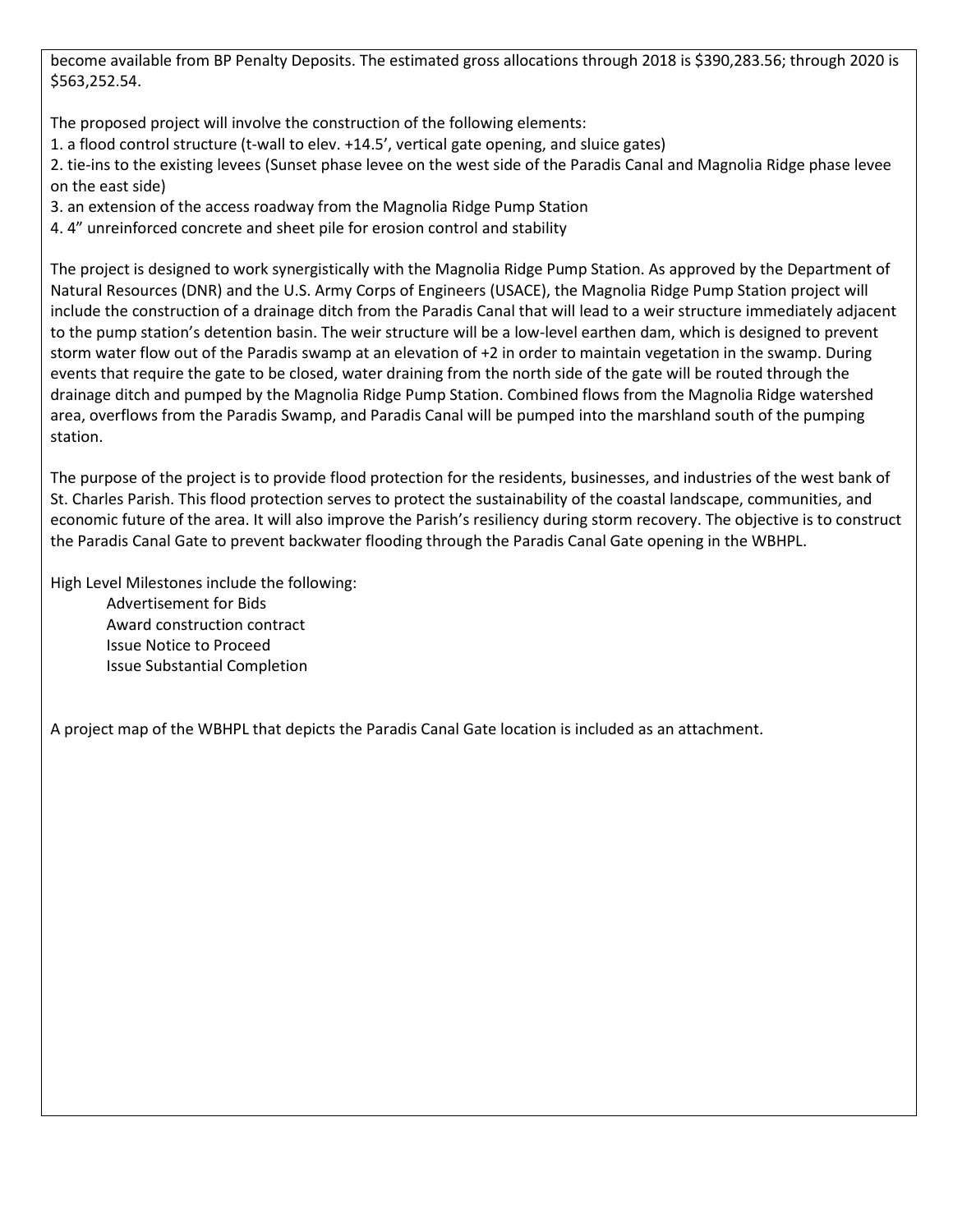become available from BP Penalty Deposits. The estimated gross allocations through 2018 is \$390,283.56; through 2020 is \$563,252.54.

The proposed project will involve the construction of the following elements:

- 1. a flood control structure (t-wall to elev. +14.5', vertical gate opening, and sluice gates)
- 2. tie-ins to the existing levees (Sunset phase levee on the west side of the Paradis Canal and Magnolia Ridge phase levee on the east side)
- 3. an extension of the access roadway from the Magnolia Ridge Pump Station
- 4. 4" unreinforced concrete and sheet pile for erosion control and stability

The project is designed to work synergistically with the Magnolia Ridge Pump Station. As approved by the Department of Natural Resources (DNR) and the U.S. Army Corps of Engineers (USACE), the Magnolia Ridge Pump Station project will include the construction of a drainage ditch from the Paradis Canal that will lead to a weir structure immediately adjacent to the pump station's detention basin. The weir structure will be a low-level earthen dam, which is designed to prevent storm water flow out of the Paradis swamp at an elevation of +2 in order to maintain vegetation in the swamp. During events that require the gate to be closed, water draining from the north side of the gate will be routed through the drainage ditch and pumped by the Magnolia Ridge Pump Station. Combined flows from the Magnolia Ridge watershed area, overflows from the Paradis Swamp, and Paradis Canal will be pumped into the marshland south of the pumping station.

The purpose of the project is to provide flood protection for the residents, businesses, and industries of the west bank of St. Charles Parish. This flood protection serves to protect the sustainability of the coastal landscape, communities, and economic future of the area. It will also improve the Parish's resiliency during storm recovery. The objective is to construct the Paradis Canal Gate to prevent backwater flooding through the Paradis Canal Gate opening in the WBHPL.

High Level Milestones include the following:

Advertisement for Bids Award construction contract Issue Notice to Proceed Issue Substantial Completion

A project map of the WBHPL that depicts the Paradis Canal Gate location is included as an attachment.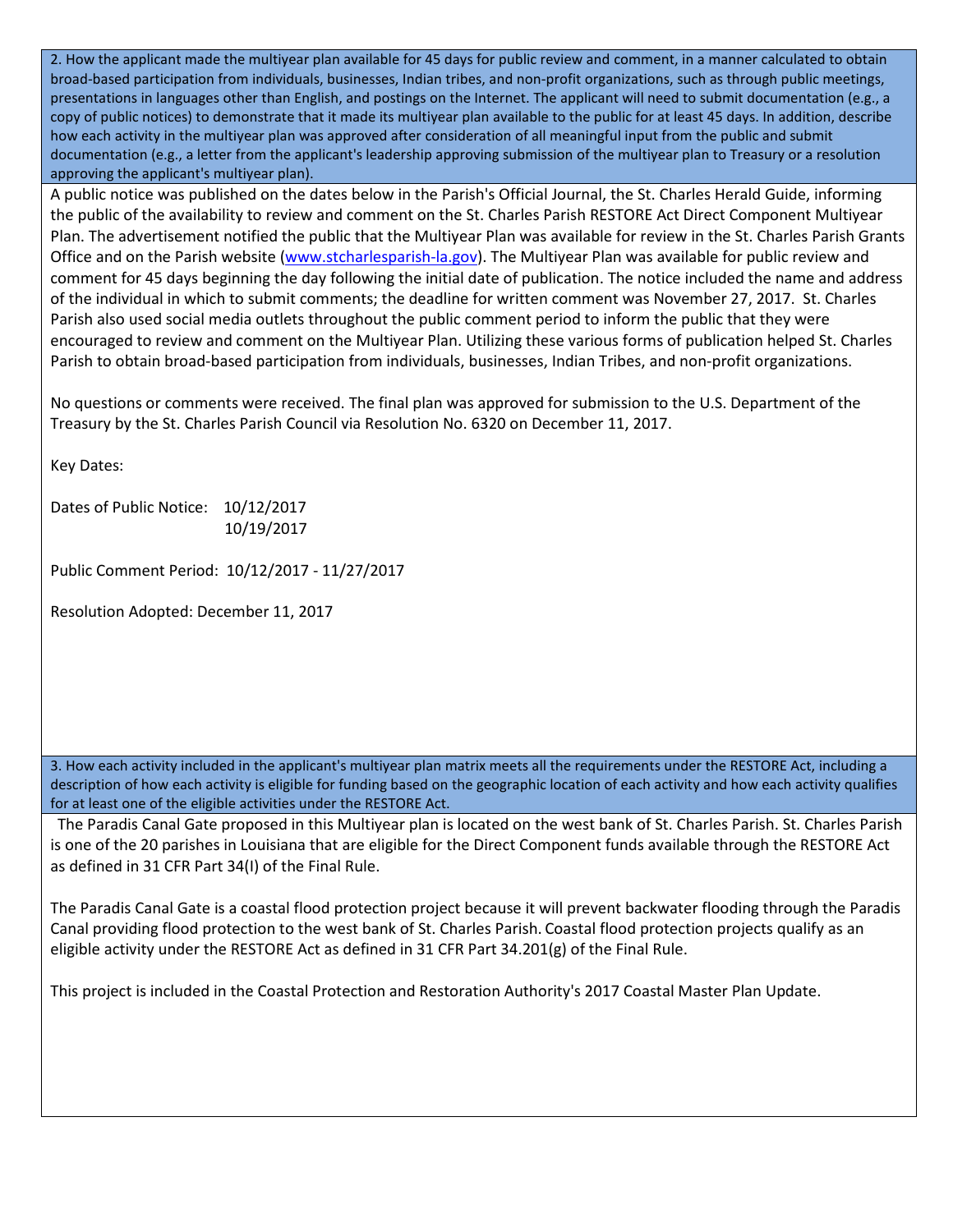2. How the applicant made the multiyear plan available for 45 days for public review and comment, in a manner calculated to obtain broad-based participation from individuals, businesses, Indian tribes, and non-profit organizations, such as through public meetings, presentations in languages other than English, and postings on the Internet. The applicant will need to submit documentation (e.g., a copy of public notices) to demonstrate that it made its multiyear plan available to the public for at least 45 days. In addition, describe how each activity in the multiyear plan was approved after consideration of all meaningful input from the public and submit documentation (e.g., a letter from the applicant's leadership approving submission of the multiyear plan to Treasury or a resolution approving the applicant's multiyear plan).

A public notice was published on the dates below in the Parish's Official Journal, the St. Charles Herald Guide, informing the public of the availability to review and comment on the St. Charles Parish RESTORE Act Direct Component Multiyear Plan. The advertisement notified the public that the Multiyear Plan was available for review in the St. Charles Parish Grants Office and on the Parish website [\(www.stcharlesparish-la.gov\)](http://www.stcharlesparish-la.gov/). The Multiyear Plan was available for public review and comment for 45 days beginning the day following the initial date of publication. The notice included the name and address of the individual in which to submit comments; the deadline for written comment was November 27, 2017. St. Charles Parish also used social media outlets throughout the public comment period to inform the public that they were encouraged to review and comment on the Multiyear Plan. Utilizing these various forms of publication helped St. Charles Parish to obtain broad-based participation from individuals, businesses, Indian Tribes, and non-profit organizations.

No questions or comments were received. The final plan was approved for submission to the U.S. Department of the Treasury by the St. Charles Parish Council via Resolution No. 6320 on December 11, 2017.

Key Dates:

Dates of Public Notice: 10/12/2017 10/19/2017

Public Comment Period: 10/12/2017 - 11/27/2017

Resolution Adopted: December 11, 2017

3. How each activity included in the applicant's multiyear plan matrix meets all the requirements under the RESTORE Act, including a description of how each activity is eligible for funding based on the geographic location of each activity and how each activity qualifies for at least one of the eligible activities under the RESTORE Act.

 The Paradis Canal Gate proposed in this Multiyear plan is located on the west bank of St. Charles Parish. St. Charles Parish is one of the 20 parishes in Louisiana that are eligible for the Direct Component funds available through the RESTORE Act as defined in 31 CFR Part 34(I) of the Final Rule.

The Paradis Canal Gate is a coastal flood protection project because it will prevent backwater flooding through the Paradis Canal providing flood protection to the west bank of St. Charles Parish. Coastal flood protection projects qualify as an eligible activity under the RESTORE Act as defined in 31 CFR Part 34.201(g) of the Final Rule.

This project is included in the Coastal Protection and Restoration Authority's 2017 Coastal Master Plan Update.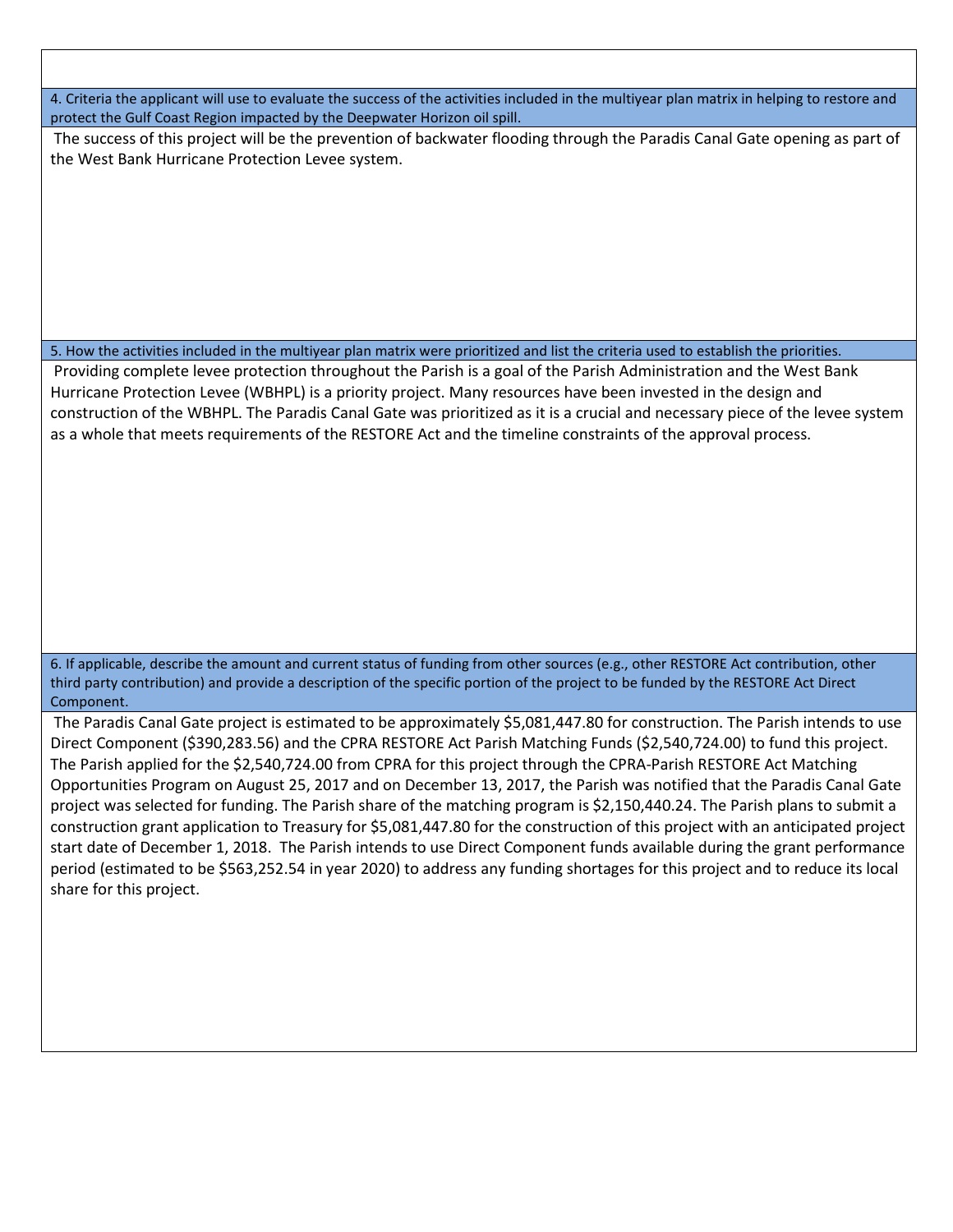4. Criteria the applicant will use to evaluate the success of the activities included in the multiyear plan matrix in helping to restore and protect the Gulf Coast Region impacted by the Deepwater Horizon oil spill.

The success of this project will be the prevention of backwater flooding through the Paradis Canal Gate opening as part of the West Bank Hurricane Protection Levee system.

5. How the activities included in the multiyear plan matrix were prioritized and list the criteria used to establish the priorities.

Providing complete levee protection throughout the Parish is a goal of the Parish Administration and the West Bank Hurricane Protection Levee (WBHPL) is a priority project. Many resources have been invested in the design and construction of the WBHPL. The Paradis Canal Gate was prioritized as it is a crucial and necessary piece of the levee system as a whole that meets requirements of the RESTORE Act and the timeline constraints of the approval process.

6. If applicable, describe the amount and current status of funding from other sources (e.g., other RESTORE Act contribution, other third party contribution) and provide a description of the specific portion of the project to be funded by the RESTORE Act Direct Component.

The Paradis Canal Gate project is estimated to be approximately \$5,081,447.80 for construction. The Parish intends to use Direct Component (\$390,283.56) and the CPRA RESTORE Act Parish Matching Funds (\$2,540,724.00) to fund this project. The Parish applied for the \$2,540,724.00 from CPRA for this project through the CPRA-Parish RESTORE Act Matching Opportunities Program on August 25, 2017 and on December 13, 2017, the Parish was notified that the Paradis Canal Gate project was selected for funding. The Parish share of the matching program is \$2,150,440.24. The Parish plans to submit a construction grant application to Treasury for \$5,081,447.80 for the construction of this project with an anticipated project start date of December 1, 2018. The Parish intends to use Direct Component funds available during the grant performance period (estimated to be \$563,252.54 in year 2020) to address any funding shortages for this project and to reduce its local share for this project.